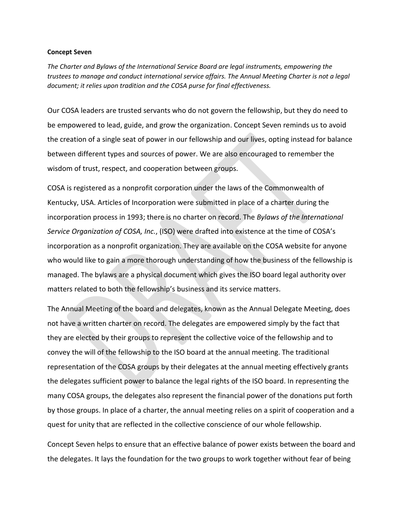## **Concept Seven**

*The Charter and Bylaws of the International Service Board are legal instruments, empowering the trustees to manage and conduct international service affairs. The Annual Meeting Charter is not a legal document; it relies upon tradition and the COSA purse for final effectiveness.*

Our COSA leaders are trusted servants who do not govern the fellowship, but they do need to be empowered to lead, guide, and grow the organization. Concept Seven reminds us to avoid the creation of a single seat of power in our fellowship and our lives, opting instead for balance between different types and sources of power. We are also encouraged to remember the wisdom of trust, respect, and cooperation between groups.

COSA is registered as a nonprofit corporation under the laws of the Commonwealth of Kentucky, USA. Articles of Incorporation were submitted in place of a charter during the incorporation process in 1993; there is no charter on record. The *Bylaws of the International Service Organization of COSA, Inc.*, (ISO) were drafted into existence at the time of COSA's incorporation as a nonprofit organization. They are available on the COSA website for anyone who would like to gain a more thorough understanding of how the business of the fellowship is managed. The bylaws are a physical document which gives the ISO board legal authority over matters related to both the fellowship's business and its service matters.

The Annual Meeting of the board and delegates, known as the Annual Delegate Meeting, does not have a written charter on record. The delegates are empowered simply by the fact that they are elected by their groups to represent the collective voice of the fellowship and to convey the will of the fellowship to the ISO board at the annual meeting. The traditional representation of the COSA groups by their delegates at the annual meeting effectively grants the delegates sufficient power to balance the legal rights of the ISO board. In representing the many COSA groups, the delegates also represent the financial power of the donations put forth by those groups. In place of a charter, the annual meeting relies on a spirit of cooperation and a quest for unity that are reflected in the collective conscience of our whole fellowship.

Concept Seven helps to ensure that an effective balance of power exists between the board and the delegates. It lays the foundation for the two groups to work together without fear of being